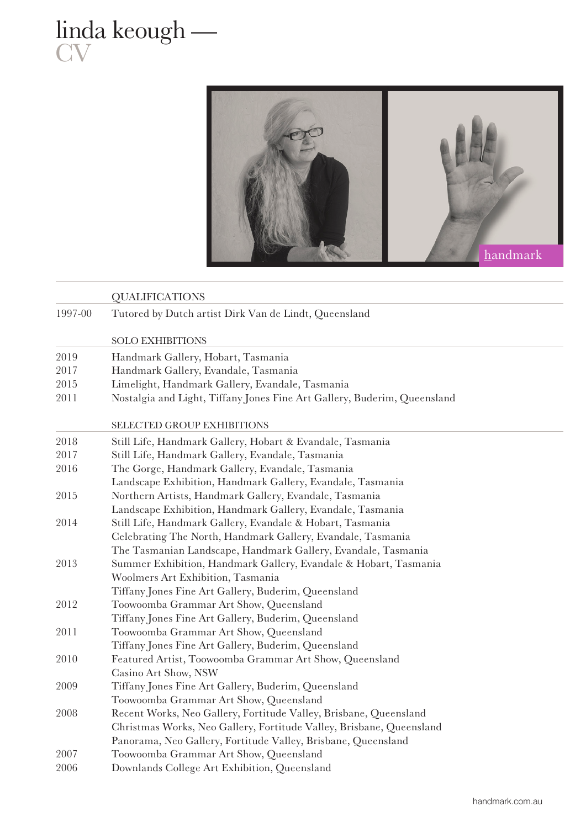## linda keough — **CV**



|         | <b>QUALIFICATIONS</b>                                                    |
|---------|--------------------------------------------------------------------------|
| 1997-00 | Tutored by Dutch artist Dirk Van de Lindt, Queensland                    |
|         | <b>SOLO EXHIBITIONS</b>                                                  |
|         |                                                                          |
| 2019    | Handmark Gallery, Hobart, Tasmania                                       |
| 2017    | Handmark Gallery, Evandale, Tasmania                                     |
| 2015    | Limelight, Handmark Gallery, Evandale, Tasmania                          |
| 2011    | Nostalgia and Light, Tiffany Jones Fine Art Gallery, Buderim, Queensland |
|         | SELECTED GROUP EXHIBITIONS                                               |
| 2018    | Still Life, Handmark Gallery, Hobart & Evandale, Tasmania                |
| 2017    | Still Life, Handmark Gallery, Evandale, Tasmania                         |
| 2016    | The Gorge, Handmark Gallery, Evandale, Tasmania                          |
|         | Landscape Exhibition, Handmark Gallery, Evandale, Tasmania               |
| 2015    | Northern Artists, Handmark Gallery, Evandale, Tasmania                   |
|         | Landscape Exhibition, Handmark Gallery, Evandale, Tasmania               |
| 2014    | Still Life, Handmark Gallery, Evandale & Hobart, Tasmania                |
|         | Celebrating The North, Handmark Gallery, Evandale, Tasmania              |
|         | The Tasmanian Landscape, Handmark Gallery, Evandale, Tasmania            |
| 2013    | Summer Exhibition, Handmark Gallery, Evandale & Hobart, Tasmania         |
|         | Woolmers Art Exhibition, Tasmania                                        |
|         | Tiffany Jones Fine Art Gallery, Buderim, Queensland                      |
| 2012    | Toowoomba Grammar Art Show, Queensland                                   |
|         | Tiffany Jones Fine Art Gallery, Buderim, Queensland                      |
| 2011    | Toowoomba Grammar Art Show, Queensland                                   |
|         | Tiffany Jones Fine Art Gallery, Buderim, Queensland                      |
| 2010    | Featured Artist, Toowoomba Grammar Art Show, Queensland                  |
|         | Casino Art Show, NSW                                                     |
| 2009    | Tiffany Jones Fine Art Gallery, Buderim, Queensland                      |
|         | Toowoomba Grammar Art Show, Queensland                                   |
| 2008    | Recent Works, Neo Gallery, Fortitude Valley, Brisbane, Queensland        |
|         | Christmas Works, Neo Gallery, Fortitude Valley, Brisbane, Queensland     |
|         | Panorama, Neo Gallery, Fortitude Valley, Brisbane, Queensland            |
| 2007    | Toowoomba Grammar Art Show, Queensland                                   |
| 2006    | Downlands College Art Exhibition, Queensland                             |
|         |                                                                          |